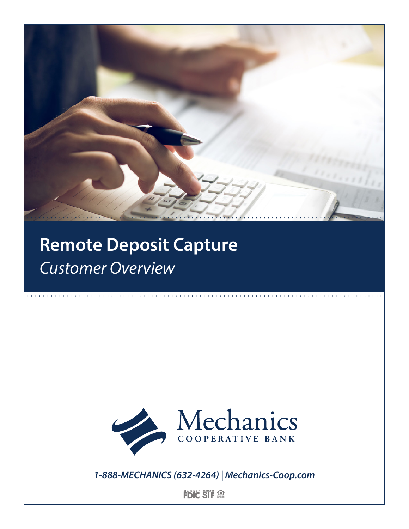

# **Remote Deposit Capture** *Customer Overview*



*1-888-MECHANICS (632-4264) | Mechanics-Coop.com*

**FDIC SIF**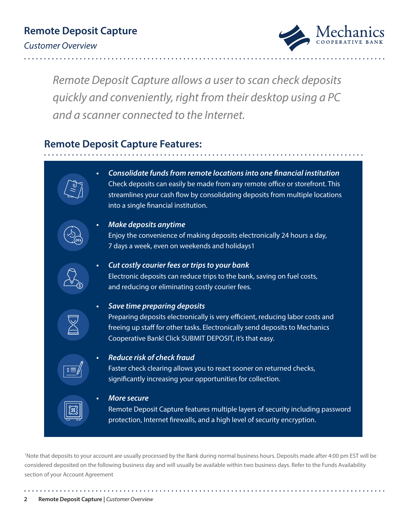

*Remote Deposit Capture allows a user to scan check deposits quickly and conveniently, right from their desktop using a PC and a scanner connected to the Internet.* 

# **Remote Deposit Capture Features:**



1 Note that deposits to your account are usually processed by the Bank during normal business hours. Deposits made after 4:00 pm EST will be considered deposited on the following business day and will usually be available within two business days. Refer to the Funds Availability section of your Account Agreement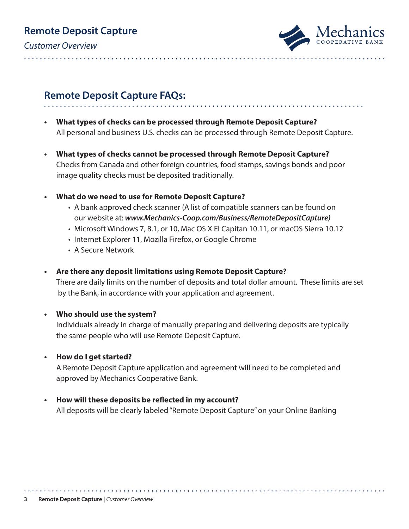# **Remote Deposit Capture**

*Customer Overview*



#### **Remote Deposit Capture FAQs:**

- **• What types of checks can be processed through Remote Deposit Capture?** All personal and business U.S. checks can be processed through Remote Deposit Capture.
- **• What types of checks cannot be processed through Remote Deposit Capture?** Checks from Canada and other foreign countries, food stamps, savings bonds and poor image quality checks must be deposited traditionally.
- **• What do we need to use for Remote Deposit Capture?**

- A bank approved check scanner (A list of compatible scanners can be found on our website at: *www.Mechanics-Coop.com/Business/RemoteDepositCapture)*
- Microsoft Windows 7, 8.1, or 10, Mac OS X El Capitan 10.11, or macOS Sierra 10.12
- Internet Explorer 11, Mozilla Firefox, or Google Chrome
- A Secure Network
- **• Are there any deposit limitations using Remote Deposit Capture?**

There are daily limits on the number of deposits and total dollar amount. These limits are set by the Bank, in accordance with your application and agreement.

**• Who should use the system?** 

Individuals already in charge of manually preparing and delivering deposits are typically the same people who will use Remote Deposit Capture.

**• How do I get started?**

A Remote Deposit Capture application and agreement will need to be completed and approved by Mechanics Cooperative Bank.

**• How will these deposits be reflected in my account?** All deposits will be clearly labeled "Remote Deposit Capture" on your Online Banking